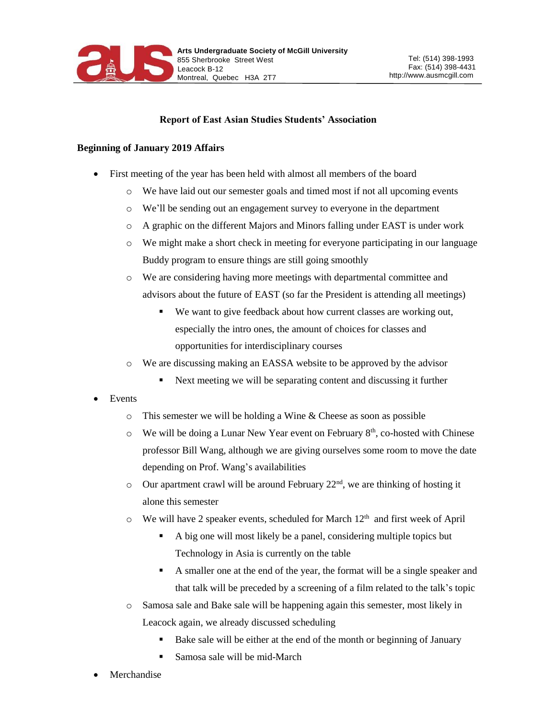

## **Report of East Asian Studies Students' Association**

## **Beginning of January 2019 Affairs**

- First meeting of the year has been held with almost all members of the board
	- o We have laid out our semester goals and timed most if not all upcoming events
	- o We'll be sending out an engagement survey to everyone in the department
	- o A graphic on the different Majors and Minors falling under EAST is under work
	- o We might make a short check in meeting for everyone participating in our language Buddy program to ensure things are still going smoothly
	- o We are considering having more meetings with departmental committee and advisors about the future of EAST (so far the President is attending all meetings)
		- We want to give feedback about how current classes are working out, especially the intro ones, the amount of choices for classes and opportunities for interdisciplinary courses
	- o We are discussing making an EASSA website to be approved by the advisor
		- Next meeting we will be separating content and discussing it further
- Events
	- o This semester we will be holding a Wine & Cheese as soon as possible
	- $\circ$  We will be doing a Lunar New Year event on February 8<sup>th</sup>, co-hosted with Chinese professor Bill Wang, although we are giving ourselves some room to move the date depending on Prof. Wang's availabilities
	- $\circ$  Our apartment crawl will be around February 22<sup>nd</sup>, we are thinking of hosting it alone this semester
	- $\circ$  We will have 2 speaker events, scheduled for March 12<sup>th</sup> and first week of April
		- A big one will most likely be a panel, considering multiple topics but Technology in Asia is currently on the table
		- A smaller one at the end of the year, the format will be a single speaker and that talk will be preceded by a screening of a film related to the talk's topic
	- o Samosa sale and Bake sale will be happening again this semester, most likely in Leacock again, we already discussed scheduling
		- Bake sale will be either at the end of the month or beginning of January
		- **Samosa sale will be mid-March**
- Merchandise